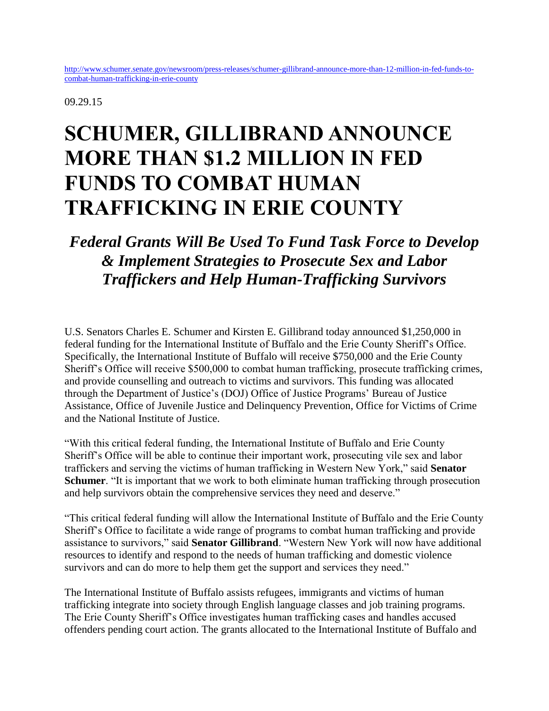09.29.15

## **SCHUMER, GILLIBRAND ANNOUNCE MORE THAN \$1.2 MILLION IN FED FUNDS TO COMBAT HUMAN TRAFFICKING IN ERIE COUNTY**

## *Federal Grants Will Be Used To Fund Task Force to Develop & Implement Strategies to Prosecute Sex and Labor Traffickers and Help Human-Trafficking Survivors*

U.S. Senators Charles E. Schumer and Kirsten E. Gillibrand today announced \$1,250,000 in federal funding for the International Institute of Buffalo and the Erie County Sheriff's Office. Specifically, the International Institute of Buffalo will receive \$750,000 and the Erie County Sheriff's Office will receive \$500,000 to combat human trafficking, prosecute trafficking crimes, and provide counselling and outreach to victims and survivors. This funding was allocated through the Department of Justice's (DOJ) Office of Justice Programs' Bureau of Justice Assistance, Office of Juvenile Justice and Delinquency Prevention, Office for Victims of Crime and the National Institute of Justice.

"With this critical federal funding, the International Institute of Buffalo and Erie County Sheriff's Office will be able to continue their important work, prosecuting vile sex and labor traffickers and serving the victims of human trafficking in Western New York," said **Senator Schumer**. "It is important that we work to both eliminate human trafficking through prosecution and help survivors obtain the comprehensive services they need and deserve."

"This critical federal funding will allow the International Institute of Buffalo and the Erie County Sheriff's Office to facilitate a wide range of programs to combat human trafficking and provide assistance to survivors," said **Senator Gillibrand**. "Western New York will now have additional resources to identify and respond to the needs of human trafficking and domestic violence survivors and can do more to help them get the support and services they need."

The International Institute of Buffalo assists refugees, immigrants and victims of human trafficking integrate into society through English language classes and job training programs. The Erie County Sheriff's Office investigates human trafficking cases and handles accused offenders pending court action. The grants allocated to the International Institute of Buffalo and